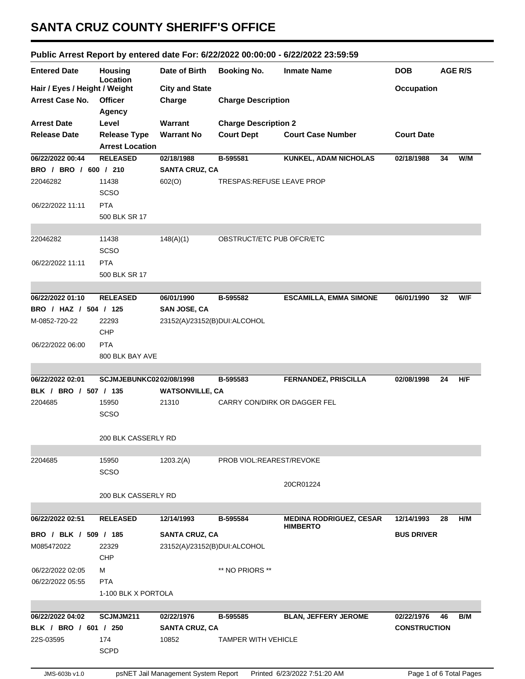## **SANTA CRUZ COUNTY SHERIFF'S OFFICE**

## **Public Arrest Report by entered date For: 6/22/2022 00:00:00 - 6/22/2022 23:59:59**

| Location<br>Hair / Eyes / Height / Weight<br><b>City and State</b><br>Occupation<br><b>Arrest Case No.</b><br><b>Officer</b><br>Charge<br><b>Charge Description</b><br><b>Agency</b><br><b>Arrest Date</b><br>Warrant<br><b>Charge Description 2</b><br>Level<br><b>Court Dept</b><br><b>Court Date</b><br><b>Release Date</b><br><b>Release Type</b><br><b>Warrant No</b><br><b>Court Case Number</b><br><b>Arrest Location</b><br><b>RELEASED</b><br>02/18/1988<br>W/M<br>06/22/2022 00:44<br>B-595581<br>KUNKEL, ADAM NICHOLAS<br>02/18/1988<br>34<br>BRO / BRO / 600 / 210<br><b>SANTA CRUZ, CA</b><br>22046282<br>11438<br>602(O)<br>TRESPAS: REFUSE LEAVE PROP<br><b>SCSO</b><br><b>PTA</b><br>500 BLK SR 17<br>11438<br>148(A)(1)<br>OBSTRUCT/ETC PUB OFCR/ETC<br><b>SCSO</b><br><b>PTA</b><br>500 BLK SR 17<br>W/F<br><b>RELEASED</b><br>06/01/1990<br>B-595582<br><b>ESCAMILLA, EMMA SIMONE</b><br>06/01/1990<br>32<br>BRO / HAZ / 504 / 125<br><b>SAN JOSE, CA</b><br>22293<br>23152(A)/23152(B)DUI:ALCOHOL<br>CHP<br><b>PTA</b><br>800 BLK BAY AVE<br>H/F<br>SCJMJEBUNKC0202/08/1998<br><b>FERNANDEZ, PRISCILLA</b><br>02/08/1998<br>24<br>B-595583<br>BLK / BRO / 507 / 135<br><b>WATSONVILLE, CA</b><br>15950<br>21310<br><b>CARRY CON/DIRK OR DAGGER FEL</b><br><b>SCSO</b><br>200 BLK CASSERLY RD<br>15950<br>1203.2(A)<br>PROB VIOL: REAREST/REVOKE<br><b>SCSO</b><br>20CR01224<br>200 BLK CASSERLY RD<br>12/14/1993<br><b>MEDINA RODRIGUEZ, CESAR</b><br>H/M<br><b>RELEASED</b><br>B-595584<br>12/14/1993<br>28<br><b>HIMBERTO</b><br>BRO / BLK / 509 / 185<br><b>SANTA CRUZ, CA</b><br><b>BUS DRIVER</b><br>23152(A)/23152(B)DUI:ALCOHOL<br>M085472022<br>22329<br><b>CHP</b><br>06/22/2022 02:05<br>М<br>** NO PRIORS **<br>06/22/2022 05:55<br><b>PTA</b><br>1-100 BLK X PORTOLA<br>06/22/2022 04:02<br>SCJMJM211<br>02/22/1976<br>B-595585<br><b>BLAN, JEFFERY JEROME</b><br>B/M<br>02/22/1976<br>46<br>BLK / BRO / 601 / 250<br><b>SANTA CRUZ, CA</b><br><b>CONSTRUCTION</b><br>174<br>22S-03595<br>10852<br><b>TAMPER WITH VEHICLE</b><br><b>SCPD</b><br>psNET Jail Management System Report<br>Printed 6/23/2022 7:51:20 AM<br>Page 1 of 6 Total Pages<br>JMS-603b v1.0 | <b>Entered Date</b> | <b>Housing</b> | Date of Birth | <b>Booking No.</b> | <b>Inmate Name</b> | <b>DOB</b> |  | <b>AGE R/S</b> |
|-------------------------------------------------------------------------------------------------------------------------------------------------------------------------------------------------------------------------------------------------------------------------------------------------------------------------------------------------------------------------------------------------------------------------------------------------------------------------------------------------------------------------------------------------------------------------------------------------------------------------------------------------------------------------------------------------------------------------------------------------------------------------------------------------------------------------------------------------------------------------------------------------------------------------------------------------------------------------------------------------------------------------------------------------------------------------------------------------------------------------------------------------------------------------------------------------------------------------------------------------------------------------------------------------------------------------------------------------------------------------------------------------------------------------------------------------------------------------------------------------------------------------------------------------------------------------------------------------------------------------------------------------------------------------------------------------------------------------------------------------------------------------------------------------------------------------------------------------------------------------------------------------------------------------------------------------------------------------------------------------------------------------------------------------------------------------------------------------------------------------------------------------------------------------------------------------|---------------------|----------------|---------------|--------------------|--------------------|------------|--|----------------|
|                                                                                                                                                                                                                                                                                                                                                                                                                                                                                                                                                                                                                                                                                                                                                                                                                                                                                                                                                                                                                                                                                                                                                                                                                                                                                                                                                                                                                                                                                                                                                                                                                                                                                                                                                                                                                                                                                                                                                                                                                                                                                                                                                                                                 |                     |                |               |                    |                    |            |  |                |
|                                                                                                                                                                                                                                                                                                                                                                                                                                                                                                                                                                                                                                                                                                                                                                                                                                                                                                                                                                                                                                                                                                                                                                                                                                                                                                                                                                                                                                                                                                                                                                                                                                                                                                                                                                                                                                                                                                                                                                                                                                                                                                                                                                                                 |                     |                |               |                    |                    |            |  |                |
|                                                                                                                                                                                                                                                                                                                                                                                                                                                                                                                                                                                                                                                                                                                                                                                                                                                                                                                                                                                                                                                                                                                                                                                                                                                                                                                                                                                                                                                                                                                                                                                                                                                                                                                                                                                                                                                                                                                                                                                                                                                                                                                                                                                                 |                     |                |               |                    |                    |            |  |                |
|                                                                                                                                                                                                                                                                                                                                                                                                                                                                                                                                                                                                                                                                                                                                                                                                                                                                                                                                                                                                                                                                                                                                                                                                                                                                                                                                                                                                                                                                                                                                                                                                                                                                                                                                                                                                                                                                                                                                                                                                                                                                                                                                                                                                 |                     |                |               |                    |                    |            |  |                |
|                                                                                                                                                                                                                                                                                                                                                                                                                                                                                                                                                                                                                                                                                                                                                                                                                                                                                                                                                                                                                                                                                                                                                                                                                                                                                                                                                                                                                                                                                                                                                                                                                                                                                                                                                                                                                                                                                                                                                                                                                                                                                                                                                                                                 |                     |                |               |                    |                    |            |  |                |
|                                                                                                                                                                                                                                                                                                                                                                                                                                                                                                                                                                                                                                                                                                                                                                                                                                                                                                                                                                                                                                                                                                                                                                                                                                                                                                                                                                                                                                                                                                                                                                                                                                                                                                                                                                                                                                                                                                                                                                                                                                                                                                                                                                                                 |                     |                |               |                    |                    |            |  |                |
|                                                                                                                                                                                                                                                                                                                                                                                                                                                                                                                                                                                                                                                                                                                                                                                                                                                                                                                                                                                                                                                                                                                                                                                                                                                                                                                                                                                                                                                                                                                                                                                                                                                                                                                                                                                                                                                                                                                                                                                                                                                                                                                                                                                                 |                     |                |               |                    |                    |            |  |                |
|                                                                                                                                                                                                                                                                                                                                                                                                                                                                                                                                                                                                                                                                                                                                                                                                                                                                                                                                                                                                                                                                                                                                                                                                                                                                                                                                                                                                                                                                                                                                                                                                                                                                                                                                                                                                                                                                                                                                                                                                                                                                                                                                                                                                 |                     |                |               |                    |                    |            |  |                |
|                                                                                                                                                                                                                                                                                                                                                                                                                                                                                                                                                                                                                                                                                                                                                                                                                                                                                                                                                                                                                                                                                                                                                                                                                                                                                                                                                                                                                                                                                                                                                                                                                                                                                                                                                                                                                                                                                                                                                                                                                                                                                                                                                                                                 |                     |                |               |                    |                    |            |  |                |
|                                                                                                                                                                                                                                                                                                                                                                                                                                                                                                                                                                                                                                                                                                                                                                                                                                                                                                                                                                                                                                                                                                                                                                                                                                                                                                                                                                                                                                                                                                                                                                                                                                                                                                                                                                                                                                                                                                                                                                                                                                                                                                                                                                                                 |                     |                |               |                    |                    |            |  |                |
|                                                                                                                                                                                                                                                                                                                                                                                                                                                                                                                                                                                                                                                                                                                                                                                                                                                                                                                                                                                                                                                                                                                                                                                                                                                                                                                                                                                                                                                                                                                                                                                                                                                                                                                                                                                                                                                                                                                                                                                                                                                                                                                                                                                                 | 06/22/2022 11:11    |                |               |                    |                    |            |  |                |
|                                                                                                                                                                                                                                                                                                                                                                                                                                                                                                                                                                                                                                                                                                                                                                                                                                                                                                                                                                                                                                                                                                                                                                                                                                                                                                                                                                                                                                                                                                                                                                                                                                                                                                                                                                                                                                                                                                                                                                                                                                                                                                                                                                                                 |                     |                |               |                    |                    |            |  |                |
|                                                                                                                                                                                                                                                                                                                                                                                                                                                                                                                                                                                                                                                                                                                                                                                                                                                                                                                                                                                                                                                                                                                                                                                                                                                                                                                                                                                                                                                                                                                                                                                                                                                                                                                                                                                                                                                                                                                                                                                                                                                                                                                                                                                                 |                     |                |               |                    |                    |            |  |                |
|                                                                                                                                                                                                                                                                                                                                                                                                                                                                                                                                                                                                                                                                                                                                                                                                                                                                                                                                                                                                                                                                                                                                                                                                                                                                                                                                                                                                                                                                                                                                                                                                                                                                                                                                                                                                                                                                                                                                                                                                                                                                                                                                                                                                 | 22046282            |                |               |                    |                    |            |  |                |
|                                                                                                                                                                                                                                                                                                                                                                                                                                                                                                                                                                                                                                                                                                                                                                                                                                                                                                                                                                                                                                                                                                                                                                                                                                                                                                                                                                                                                                                                                                                                                                                                                                                                                                                                                                                                                                                                                                                                                                                                                                                                                                                                                                                                 |                     |                |               |                    |                    |            |  |                |
|                                                                                                                                                                                                                                                                                                                                                                                                                                                                                                                                                                                                                                                                                                                                                                                                                                                                                                                                                                                                                                                                                                                                                                                                                                                                                                                                                                                                                                                                                                                                                                                                                                                                                                                                                                                                                                                                                                                                                                                                                                                                                                                                                                                                 | 06/22/2022 11:11    |                |               |                    |                    |            |  |                |
|                                                                                                                                                                                                                                                                                                                                                                                                                                                                                                                                                                                                                                                                                                                                                                                                                                                                                                                                                                                                                                                                                                                                                                                                                                                                                                                                                                                                                                                                                                                                                                                                                                                                                                                                                                                                                                                                                                                                                                                                                                                                                                                                                                                                 |                     |                |               |                    |                    |            |  |                |
|                                                                                                                                                                                                                                                                                                                                                                                                                                                                                                                                                                                                                                                                                                                                                                                                                                                                                                                                                                                                                                                                                                                                                                                                                                                                                                                                                                                                                                                                                                                                                                                                                                                                                                                                                                                                                                                                                                                                                                                                                                                                                                                                                                                                 |                     |                |               |                    |                    |            |  |                |
|                                                                                                                                                                                                                                                                                                                                                                                                                                                                                                                                                                                                                                                                                                                                                                                                                                                                                                                                                                                                                                                                                                                                                                                                                                                                                                                                                                                                                                                                                                                                                                                                                                                                                                                                                                                                                                                                                                                                                                                                                                                                                                                                                                                                 | 06/22/2022 01:10    |                |               |                    |                    |            |  |                |
|                                                                                                                                                                                                                                                                                                                                                                                                                                                                                                                                                                                                                                                                                                                                                                                                                                                                                                                                                                                                                                                                                                                                                                                                                                                                                                                                                                                                                                                                                                                                                                                                                                                                                                                                                                                                                                                                                                                                                                                                                                                                                                                                                                                                 |                     |                |               |                    |                    |            |  |                |
|                                                                                                                                                                                                                                                                                                                                                                                                                                                                                                                                                                                                                                                                                                                                                                                                                                                                                                                                                                                                                                                                                                                                                                                                                                                                                                                                                                                                                                                                                                                                                                                                                                                                                                                                                                                                                                                                                                                                                                                                                                                                                                                                                                                                 | M-0852-720-22       |                |               |                    |                    |            |  |                |
|                                                                                                                                                                                                                                                                                                                                                                                                                                                                                                                                                                                                                                                                                                                                                                                                                                                                                                                                                                                                                                                                                                                                                                                                                                                                                                                                                                                                                                                                                                                                                                                                                                                                                                                                                                                                                                                                                                                                                                                                                                                                                                                                                                                                 |                     |                |               |                    |                    |            |  |                |
|                                                                                                                                                                                                                                                                                                                                                                                                                                                                                                                                                                                                                                                                                                                                                                                                                                                                                                                                                                                                                                                                                                                                                                                                                                                                                                                                                                                                                                                                                                                                                                                                                                                                                                                                                                                                                                                                                                                                                                                                                                                                                                                                                                                                 | 06/22/2022 06:00    |                |               |                    |                    |            |  |                |
|                                                                                                                                                                                                                                                                                                                                                                                                                                                                                                                                                                                                                                                                                                                                                                                                                                                                                                                                                                                                                                                                                                                                                                                                                                                                                                                                                                                                                                                                                                                                                                                                                                                                                                                                                                                                                                                                                                                                                                                                                                                                                                                                                                                                 |                     |                |               |                    |                    |            |  |                |
|                                                                                                                                                                                                                                                                                                                                                                                                                                                                                                                                                                                                                                                                                                                                                                                                                                                                                                                                                                                                                                                                                                                                                                                                                                                                                                                                                                                                                                                                                                                                                                                                                                                                                                                                                                                                                                                                                                                                                                                                                                                                                                                                                                                                 |                     |                |               |                    |                    |            |  |                |
|                                                                                                                                                                                                                                                                                                                                                                                                                                                                                                                                                                                                                                                                                                                                                                                                                                                                                                                                                                                                                                                                                                                                                                                                                                                                                                                                                                                                                                                                                                                                                                                                                                                                                                                                                                                                                                                                                                                                                                                                                                                                                                                                                                                                 | 06/22/2022 02:01    |                |               |                    |                    |            |  |                |
|                                                                                                                                                                                                                                                                                                                                                                                                                                                                                                                                                                                                                                                                                                                                                                                                                                                                                                                                                                                                                                                                                                                                                                                                                                                                                                                                                                                                                                                                                                                                                                                                                                                                                                                                                                                                                                                                                                                                                                                                                                                                                                                                                                                                 |                     |                |               |                    |                    |            |  |                |
|                                                                                                                                                                                                                                                                                                                                                                                                                                                                                                                                                                                                                                                                                                                                                                                                                                                                                                                                                                                                                                                                                                                                                                                                                                                                                                                                                                                                                                                                                                                                                                                                                                                                                                                                                                                                                                                                                                                                                                                                                                                                                                                                                                                                 | 2204685             |                |               |                    |                    |            |  |                |
|                                                                                                                                                                                                                                                                                                                                                                                                                                                                                                                                                                                                                                                                                                                                                                                                                                                                                                                                                                                                                                                                                                                                                                                                                                                                                                                                                                                                                                                                                                                                                                                                                                                                                                                                                                                                                                                                                                                                                                                                                                                                                                                                                                                                 |                     |                |               |                    |                    |            |  |                |
|                                                                                                                                                                                                                                                                                                                                                                                                                                                                                                                                                                                                                                                                                                                                                                                                                                                                                                                                                                                                                                                                                                                                                                                                                                                                                                                                                                                                                                                                                                                                                                                                                                                                                                                                                                                                                                                                                                                                                                                                                                                                                                                                                                                                 |                     |                |               |                    |                    |            |  |                |
|                                                                                                                                                                                                                                                                                                                                                                                                                                                                                                                                                                                                                                                                                                                                                                                                                                                                                                                                                                                                                                                                                                                                                                                                                                                                                                                                                                                                                                                                                                                                                                                                                                                                                                                                                                                                                                                                                                                                                                                                                                                                                                                                                                                                 |                     |                |               |                    |                    |            |  |                |
|                                                                                                                                                                                                                                                                                                                                                                                                                                                                                                                                                                                                                                                                                                                                                                                                                                                                                                                                                                                                                                                                                                                                                                                                                                                                                                                                                                                                                                                                                                                                                                                                                                                                                                                                                                                                                                                                                                                                                                                                                                                                                                                                                                                                 | 2204685             |                |               |                    |                    |            |  |                |
|                                                                                                                                                                                                                                                                                                                                                                                                                                                                                                                                                                                                                                                                                                                                                                                                                                                                                                                                                                                                                                                                                                                                                                                                                                                                                                                                                                                                                                                                                                                                                                                                                                                                                                                                                                                                                                                                                                                                                                                                                                                                                                                                                                                                 |                     |                |               |                    |                    |            |  |                |
|                                                                                                                                                                                                                                                                                                                                                                                                                                                                                                                                                                                                                                                                                                                                                                                                                                                                                                                                                                                                                                                                                                                                                                                                                                                                                                                                                                                                                                                                                                                                                                                                                                                                                                                                                                                                                                                                                                                                                                                                                                                                                                                                                                                                 |                     |                |               |                    |                    |            |  |                |
|                                                                                                                                                                                                                                                                                                                                                                                                                                                                                                                                                                                                                                                                                                                                                                                                                                                                                                                                                                                                                                                                                                                                                                                                                                                                                                                                                                                                                                                                                                                                                                                                                                                                                                                                                                                                                                                                                                                                                                                                                                                                                                                                                                                                 |                     |                |               |                    |                    |            |  |                |
|                                                                                                                                                                                                                                                                                                                                                                                                                                                                                                                                                                                                                                                                                                                                                                                                                                                                                                                                                                                                                                                                                                                                                                                                                                                                                                                                                                                                                                                                                                                                                                                                                                                                                                                                                                                                                                                                                                                                                                                                                                                                                                                                                                                                 |                     |                |               |                    |                    |            |  |                |
|                                                                                                                                                                                                                                                                                                                                                                                                                                                                                                                                                                                                                                                                                                                                                                                                                                                                                                                                                                                                                                                                                                                                                                                                                                                                                                                                                                                                                                                                                                                                                                                                                                                                                                                                                                                                                                                                                                                                                                                                                                                                                                                                                                                                 | 06/22/2022 02:51    |                |               |                    |                    |            |  |                |
|                                                                                                                                                                                                                                                                                                                                                                                                                                                                                                                                                                                                                                                                                                                                                                                                                                                                                                                                                                                                                                                                                                                                                                                                                                                                                                                                                                                                                                                                                                                                                                                                                                                                                                                                                                                                                                                                                                                                                                                                                                                                                                                                                                                                 |                     |                |               |                    |                    |            |  |                |
|                                                                                                                                                                                                                                                                                                                                                                                                                                                                                                                                                                                                                                                                                                                                                                                                                                                                                                                                                                                                                                                                                                                                                                                                                                                                                                                                                                                                                                                                                                                                                                                                                                                                                                                                                                                                                                                                                                                                                                                                                                                                                                                                                                                                 |                     |                |               |                    |                    |            |  |                |
|                                                                                                                                                                                                                                                                                                                                                                                                                                                                                                                                                                                                                                                                                                                                                                                                                                                                                                                                                                                                                                                                                                                                                                                                                                                                                                                                                                                                                                                                                                                                                                                                                                                                                                                                                                                                                                                                                                                                                                                                                                                                                                                                                                                                 |                     |                |               |                    |                    |            |  |                |
|                                                                                                                                                                                                                                                                                                                                                                                                                                                                                                                                                                                                                                                                                                                                                                                                                                                                                                                                                                                                                                                                                                                                                                                                                                                                                                                                                                                                                                                                                                                                                                                                                                                                                                                                                                                                                                                                                                                                                                                                                                                                                                                                                                                                 |                     |                |               |                    |                    |            |  |                |
|                                                                                                                                                                                                                                                                                                                                                                                                                                                                                                                                                                                                                                                                                                                                                                                                                                                                                                                                                                                                                                                                                                                                                                                                                                                                                                                                                                                                                                                                                                                                                                                                                                                                                                                                                                                                                                                                                                                                                                                                                                                                                                                                                                                                 |                     |                |               |                    |                    |            |  |                |
|                                                                                                                                                                                                                                                                                                                                                                                                                                                                                                                                                                                                                                                                                                                                                                                                                                                                                                                                                                                                                                                                                                                                                                                                                                                                                                                                                                                                                                                                                                                                                                                                                                                                                                                                                                                                                                                                                                                                                                                                                                                                                                                                                                                                 |                     |                |               |                    |                    |            |  |                |
|                                                                                                                                                                                                                                                                                                                                                                                                                                                                                                                                                                                                                                                                                                                                                                                                                                                                                                                                                                                                                                                                                                                                                                                                                                                                                                                                                                                                                                                                                                                                                                                                                                                                                                                                                                                                                                                                                                                                                                                                                                                                                                                                                                                                 |                     |                |               |                    |                    |            |  |                |
|                                                                                                                                                                                                                                                                                                                                                                                                                                                                                                                                                                                                                                                                                                                                                                                                                                                                                                                                                                                                                                                                                                                                                                                                                                                                                                                                                                                                                                                                                                                                                                                                                                                                                                                                                                                                                                                                                                                                                                                                                                                                                                                                                                                                 |                     |                |               |                    |                    |            |  |                |
|                                                                                                                                                                                                                                                                                                                                                                                                                                                                                                                                                                                                                                                                                                                                                                                                                                                                                                                                                                                                                                                                                                                                                                                                                                                                                                                                                                                                                                                                                                                                                                                                                                                                                                                                                                                                                                                                                                                                                                                                                                                                                                                                                                                                 |                     |                |               |                    |                    |            |  |                |
|                                                                                                                                                                                                                                                                                                                                                                                                                                                                                                                                                                                                                                                                                                                                                                                                                                                                                                                                                                                                                                                                                                                                                                                                                                                                                                                                                                                                                                                                                                                                                                                                                                                                                                                                                                                                                                                                                                                                                                                                                                                                                                                                                                                                 |                     |                |               |                    |                    |            |  |                |
|                                                                                                                                                                                                                                                                                                                                                                                                                                                                                                                                                                                                                                                                                                                                                                                                                                                                                                                                                                                                                                                                                                                                                                                                                                                                                                                                                                                                                                                                                                                                                                                                                                                                                                                                                                                                                                                                                                                                                                                                                                                                                                                                                                                                 |                     |                |               |                    |                    |            |  |                |
|                                                                                                                                                                                                                                                                                                                                                                                                                                                                                                                                                                                                                                                                                                                                                                                                                                                                                                                                                                                                                                                                                                                                                                                                                                                                                                                                                                                                                                                                                                                                                                                                                                                                                                                                                                                                                                                                                                                                                                                                                                                                                                                                                                                                 |                     |                |               |                    |                    |            |  |                |
|                                                                                                                                                                                                                                                                                                                                                                                                                                                                                                                                                                                                                                                                                                                                                                                                                                                                                                                                                                                                                                                                                                                                                                                                                                                                                                                                                                                                                                                                                                                                                                                                                                                                                                                                                                                                                                                                                                                                                                                                                                                                                                                                                                                                 |                     |                |               |                    |                    |            |  |                |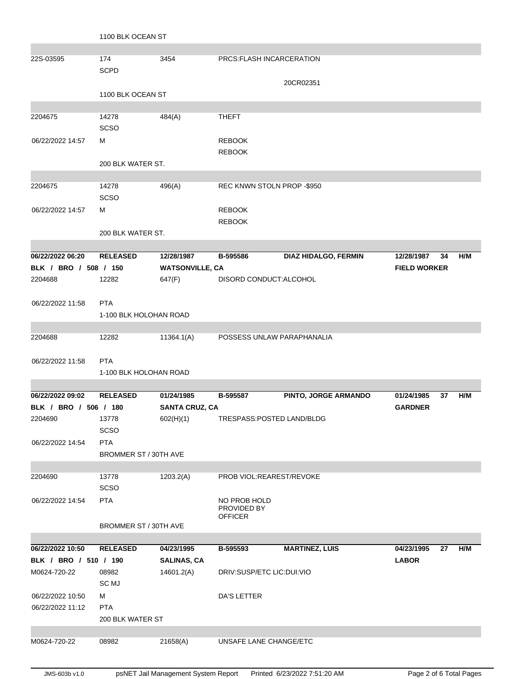|                       | 1100 BLK OCEAN ST      |                        |                             |                       |                     |     |
|-----------------------|------------------------|------------------------|-----------------------------|-----------------------|---------------------|-----|
|                       |                        |                        |                             |                       |                     |     |
| 22S-03595             | 174                    | 3454                   | PRCS: FLASH INCARCERATION   |                       |                     |     |
|                       | <b>SCPD</b>            |                        |                             |                       |                     |     |
|                       |                        |                        |                             | 20CR02351             |                     |     |
|                       | 1100 BLK OCEAN ST      |                        |                             |                       |                     |     |
| 2204675               | 14278                  | 484(A)                 | <b>THEFT</b>                |                       |                     |     |
|                       | <b>SCSO</b>            |                        |                             |                       |                     |     |
| 06/22/2022 14:57      | м                      |                        | <b>REBOOK</b>               |                       |                     |     |
|                       |                        |                        | <b>REBOOK</b>               |                       |                     |     |
|                       | 200 BLK WATER ST.      |                        |                             |                       |                     |     |
|                       |                        |                        |                             |                       |                     |     |
| 2204675               | 14278                  | 496(A)                 | REC KNWN STOLN PROP -\$950  |                       |                     |     |
|                       | <b>SCSO</b>            |                        |                             |                       |                     |     |
| 06/22/2022 14:57      | м                      |                        | <b>REBOOK</b>               |                       |                     |     |
|                       |                        |                        | <b>REBOOK</b>               |                       |                     |     |
|                       | 200 BLK WATER ST.      |                        |                             |                       |                     |     |
| 06/22/2022 06:20      | <b>RELEASED</b>        | 12/28/1987             | B-595586                    | DIAZ HIDALGO, FERMIN  | 12/28/1987<br>34    | H/M |
| BLK / BRO / 508 / 150 |                        | <b>WATSONVILLE, CA</b> |                             |                       | <b>FIELD WORKER</b> |     |
| 2204688               | 12282                  | 647(F)                 | DISORD CONDUCT: ALCOHOL     |                       |                     |     |
|                       |                        |                        |                             |                       |                     |     |
| 06/22/2022 11:58      | <b>PTA</b>             |                        |                             |                       |                     |     |
|                       | 1-100 BLK HOLOHAN ROAD |                        |                             |                       |                     |     |
|                       |                        |                        |                             |                       |                     |     |
| 2204688               | 12282                  | 11364.1(A)             | POSSESS UNLAW PARAPHANALIA  |                       |                     |     |
|                       |                        |                        |                             |                       |                     |     |
| 06/22/2022 11:58      | <b>PTA</b>             |                        |                             |                       |                     |     |
|                       | 1-100 BLK HOLOHAN ROAD |                        |                             |                       |                     |     |
| 06/22/2022 09:02      | <b>RELEASED</b>        | 01/24/1985             | B-595587                    | PINTO, JORGE ARMANDO  | 01/24/1985<br>37    | H/M |
| BLK / BRO / 506 / 180 |                        | <b>SANTA CRUZ, CA</b>  |                             |                       | <b>GARDNER</b>      |     |
| 2204690               | 13778                  | 602(H)(1)              | TRESPASS:POSTED LAND/BLDG   |                       |                     |     |
|                       | <b>SCSO</b>            |                        |                             |                       |                     |     |
| 06/22/2022 14:54      | <b>PTA</b>             |                        |                             |                       |                     |     |
|                       | BROMMER ST / 30TH AVE  |                        |                             |                       |                     |     |
|                       |                        |                        |                             |                       |                     |     |
| 2204690               | 13778                  | 1203.2(A)              | PROB VIOL:REAREST/REVOKE    |                       |                     |     |
|                       | <b>SCSO</b>            |                        |                             |                       |                     |     |
| 06/22/2022 14:54      | <b>PTA</b>             |                        | NO PROB HOLD<br>PROVIDED BY |                       |                     |     |
|                       |                        |                        | <b>OFFICER</b>              |                       |                     |     |
|                       | BROMMER ST / 30TH AVE  |                        |                             |                       |                     |     |
| 06/22/2022 10:50      | <b>RELEASED</b>        | 04/23/1995             | B-595593                    | <b>MARTINEZ, LUIS</b> | 04/23/1995<br>27    | H/M |
| BLK / BRO / 510 / 190 |                        | <b>SALINAS, CA</b>     |                             |                       | <b>LABOR</b>        |     |
| M0624-720-22          | 08982                  | 14601.2(A)             | DRIV:SUSP/ETC LIC:DUI:VIO   |                       |                     |     |
|                       | SC MJ                  |                        |                             |                       |                     |     |
| 06/22/2022 10:50      | M                      |                        | <b>DA'S LETTER</b>          |                       |                     |     |
| 06/22/2022 11:12      | <b>PTA</b>             |                        |                             |                       |                     |     |
|                       | 200 BLK WATER ST       |                        |                             |                       |                     |     |
|                       |                        |                        |                             |                       |                     |     |
| M0624-720-22          | 08982                  | 21658(A)               | UNSAFE LANE CHANGE/ETC      |                       |                     |     |
|                       |                        |                        |                             |                       |                     |     |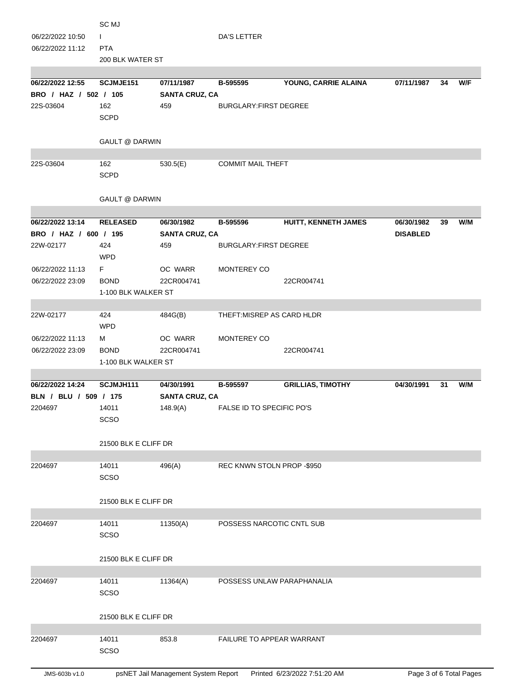| 06/22/2022 10:50<br>06/22/2022 11:12      | SC MJ<br>L<br><b>PTA</b><br>200 BLK WATER ST |                                     | <b>DA'S LETTER</b>               |                             |                               |    |     |
|-------------------------------------------|----------------------------------------------|-------------------------------------|----------------------------------|-----------------------------|-------------------------------|----|-----|
| 06/22/2022 12:55                          | SCJMJE151                                    | 07/11/1987                          | B-595595                         | YOUNG, CARRIE ALAINA        | 07/11/1987                    | 34 | W/F |
| BRO / HAZ / 502 / 105                     |                                              | <b>SANTA CRUZ, CA</b>               |                                  |                             |                               |    |     |
| 22S-03604                                 | 162<br><b>SCPD</b>                           | 459                                 | <b>BURGLARY:FIRST DEGREE</b>     |                             |                               |    |     |
|                                           | <b>GAULT @ DARWIN</b>                        |                                     |                                  |                             |                               |    |     |
| 22S-03604                                 | 162<br><b>SCPD</b>                           | 530.5(E)                            | <b>COMMIT MAIL THEFT</b>         |                             |                               |    |     |
|                                           | <b>GAULT @ DARWIN</b>                        |                                     |                                  |                             |                               |    |     |
| 06/22/2022 13:14<br>BRO / HAZ / 600 / 195 | <b>RELEASED</b>                              | 06/30/1982<br><b>SANTA CRUZ, CA</b> | B-595596                         | <b>HUITT, KENNETH JAMES</b> | 06/30/1982<br><b>DISABLED</b> | 39 | W/M |
| 22W-02177                                 | 424                                          | 459                                 | BURGLARY: FIRST DEGREE           |                             |                               |    |     |
|                                           | <b>WPD</b>                                   |                                     |                                  |                             |                               |    |     |
| 06/22/2022 11:13                          | F.                                           | OC WARR                             | MONTEREY CO                      |                             |                               |    |     |
| 06/22/2022 23:09                          | <b>BOND</b>                                  | 22CR004741                          |                                  | 22CR004741                  |                               |    |     |
|                                           | 1-100 BLK WALKER ST                          |                                     |                                  |                             |                               |    |     |
|                                           |                                              |                                     |                                  |                             |                               |    |     |
| 22W-02177                                 | 424<br><b>WPD</b>                            | 484G(B)                             | THEFT: MISREP AS CARD HLDR       |                             |                               |    |     |
| 06/22/2022 11:13                          | м                                            | OC WARR                             | MONTEREY CO                      |                             |                               |    |     |
| 06/22/2022 23:09                          | <b>BOND</b>                                  | 22CR004741                          |                                  | 22CR004741                  |                               |    |     |
|                                           | 1-100 BLK WALKER ST                          |                                     |                                  |                             |                               |    |     |
|                                           |                                              |                                     |                                  |                             |                               |    |     |
| 06/22/2022 14:24                          | SCJMJH111                                    | 04/30/1991                          | B-595597                         | <b>GRILLIAS, TIMOTHY</b>    | 04/30/1991                    | 31 | W/M |
| BLN / BLU / 509 / 175<br>2204697          | 14011                                        | <b>SANTA CRUZ, CA</b><br>148.9(A)   | FALSE ID TO SPECIFIC PO'S        |                             |                               |    |     |
|                                           | SCSO                                         |                                     |                                  |                             |                               |    |     |
|                                           | 21500 BLK E CLIFF DR                         |                                     |                                  |                             |                               |    |     |
| 2204697                                   | 14011                                        | 496(A)                              | REC KNWN STOLN PROP - \$950      |                             |                               |    |     |
|                                           | <b>SCSO</b>                                  |                                     |                                  |                             |                               |    |     |
|                                           | 21500 BLK E CLIFF DR                         |                                     |                                  |                             |                               |    |     |
| 2204697                                   | 14011                                        | 11350(A)                            | POSSESS NARCOTIC CNTL SUB        |                             |                               |    |     |
|                                           | <b>SCSO</b>                                  |                                     |                                  |                             |                               |    |     |
|                                           |                                              |                                     |                                  |                             |                               |    |     |
|                                           | 21500 BLK E CLIFF DR                         |                                     |                                  |                             |                               |    |     |
| 2204697                                   | 14011                                        | 11364(A)                            | POSSESS UNLAW PARAPHANALIA       |                             |                               |    |     |
|                                           | <b>SCSO</b>                                  |                                     |                                  |                             |                               |    |     |
|                                           | 21500 BLK E CLIFF DR                         |                                     |                                  |                             |                               |    |     |
| 2204697                                   | 14011                                        | 853.8                               | <b>FAILURE TO APPEAR WARRANT</b> |                             |                               |    |     |
|                                           | <b>SCSO</b>                                  |                                     |                                  |                             |                               |    |     |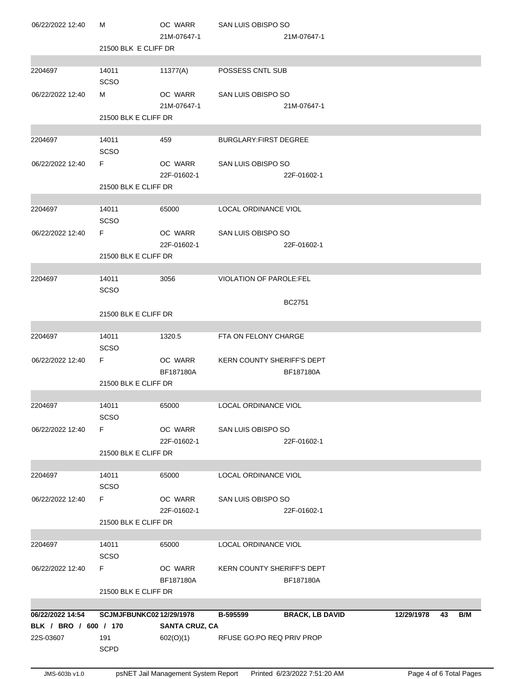| 22S-03607                                 | 191<br><b>SCPD</b>             | 602(O)(1)              | RFUSE GO:PO REQ PRIV PROP         |                        |            |    |     |
|-------------------------------------------|--------------------------------|------------------------|-----------------------------------|------------------------|------------|----|-----|
| 06/22/2022 14:54<br>BLK / BRO / 600 / 170 | <b>SCJMJFBUNKC0212/29/1978</b> | <b>SANTA CRUZ, CA</b>  | B-595599                          | <b>BRACK, LB DAVID</b> | 12/29/1978 | 43 | B/M |
|                                           | 21500 BLK E CLIFF DR           |                        |                                   |                        |            |    |     |
| 06/22/2022 12:40                          | F.                             | OC WARR<br>BF187180A   | KERN COUNTY SHERIFF'S DEPT        | BF187180A              |            |    |     |
| 2204697                                   | 14011<br>SCSO                  | 65000                  | LOCAL ORDINANCE VIOL              |                        |            |    |     |
|                                           | 21500 BLK E CLIFF DR           |                        |                                   |                        |            |    |     |
| 06/22/2022 12:40                          | F                              | OC WARR<br>22F-01602-1 | SAN LUIS OBISPO SO                | 22F-01602-1            |            |    |     |
| 2204697                                   | 14011<br>SCSO                  | 65000                  | LOCAL ORDINANCE VIOL              |                        |            |    |     |
|                                           | 21500 BLK E CLIFF DR           |                        |                                   |                        |            |    |     |
| 06/22/2022 12:40                          | SCSO<br>F.                     | OC WARR<br>22F-01602-1 | SAN LUIS OBISPO SO                | 22F-01602-1            |            |    |     |
| 2204697                                   | 14011                          | 65000                  | LOCAL ORDINANCE VIOL              |                        |            |    |     |
|                                           | 21500 BLK E CLIFF DR           | BF187180A              |                                   | BF187180A              |            |    |     |
| 06/22/2022 12:40                          | F.                             | OC WARR                | <b>KERN COUNTY SHERIFF'S DEPT</b> |                        |            |    |     |
| 2204697                                   | 14011<br>SCSO                  | 1320.5                 | FTA ON FELONY CHARGE              |                        |            |    |     |
|                                           | 21500 BLK E CLIFF DR           |                        |                                   | <b>BC2751</b>          |            |    |     |
| 2204697                                   | 14011<br><b>SCSO</b>           | 3056                   | VIOLATION OF PAROLE:FEL           |                        |            |    |     |
|                                           | 21500 BLK E CLIFF DR           |                        |                                   |                        |            |    |     |
| 06/22/2022 12:40                          | F.                             | OC WARR<br>22F-01602-1 | SAN LUIS OBISPO SO                | 22F-01602-1            |            |    |     |
| 2204697                                   | 14011<br>SCSO                  | 65000                  | LOCAL ORDINANCE VIOL              |                        |            |    |     |
|                                           | 21500 BLK E CLIFF DR           | 22F-01602-1            |                                   | 22F-01602-1            |            |    |     |
| 06/22/2022 12:40                          | SCSO<br>F.                     | OC WARR                | SAN LUIS OBISPO SO                |                        |            |    |     |
| 2204697                                   | 14011                          | 459                    | <b>BURGLARY:FIRST DEGREE</b>      |                        |            |    |     |
|                                           | 21500 BLK E CLIFF DR           | 21M-07647-1            |                                   | 21M-07647-1            |            |    |     |
| 06/22/2022 12:40                          | SCSO<br>м                      | OC WARR                | SAN LUIS OBISPO SO                |                        |            |    |     |
| 2204697                                   | 14011                          | 11377(A)               | <b>POSSESS CNTL SUB</b>           |                        |            |    |     |
|                                           | 21500 BLK E CLIFF DR           |                        |                                   |                        |            |    |     |
| 06/22/2022 12:40                          | м                              | OC WARR<br>21M-07647-1 | SAN LUIS OBISPO SO                | 21M-07647-1            |            |    |     |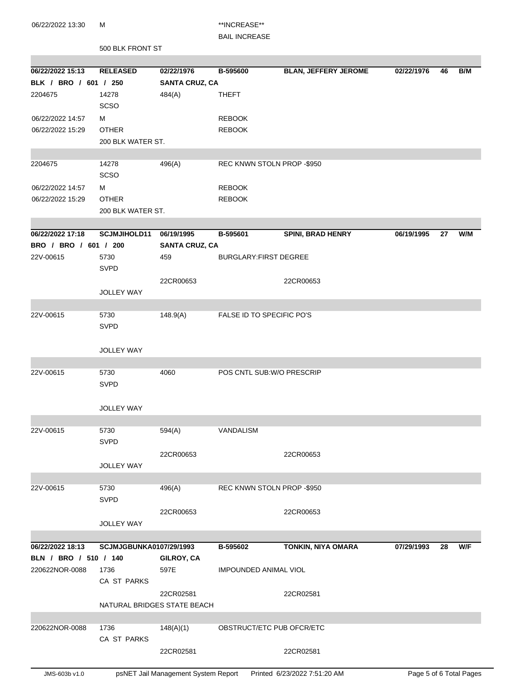06/22/2022 13:30 M \*\*INCREASE\*\*

## BAIL INCREASE

500 BLK FRONT ST

| 06/22/2022 15:13      | <b>RELEASED</b>         | 02/22/1976                  | B-595600                     | <b>BLAN, JEFFERY JEROME</b> | 02/22/1976 | 46 | B/M |
|-----------------------|-------------------------|-----------------------------|------------------------------|-----------------------------|------------|----|-----|
| BLK / BRO / 601 / 250 |                         | <b>SANTA CRUZ, CA</b>       |                              |                             |            |    |     |
| 2204675               | 14278                   | 484(A)                      | <b>THEFT</b>                 |                             |            |    |     |
|                       | <b>SCSO</b>             |                             |                              |                             |            |    |     |
| 06/22/2022 14:57      | м                       |                             | <b>REBOOK</b>                |                             |            |    |     |
| 06/22/2022 15:29      | <b>OTHER</b>            |                             | <b>REBOOK</b>                |                             |            |    |     |
|                       | 200 BLK WATER ST.       |                             |                              |                             |            |    |     |
|                       |                         |                             |                              |                             |            |    |     |
| 2204675               | 14278                   | 496(A)                      | REC KNWN STOLN PROP -\$950   |                             |            |    |     |
|                       | <b>SCSO</b>             |                             |                              |                             |            |    |     |
| 06/22/2022 14:57      | м                       |                             | <b>REBOOK</b>                |                             |            |    |     |
| 06/22/2022 15:29      | <b>OTHER</b>            |                             | <b>REBOOK</b>                |                             |            |    |     |
|                       | 200 BLK WATER ST.       |                             |                              |                             |            |    |     |
|                       |                         |                             |                              |                             |            |    |     |
| 06/22/2022 17:18      | <b>SCJMJIHOLD11</b>     | 06/19/1995                  | B-595601                     | <b>SPINI, BRAD HENRY</b>    | 06/19/1995 | 27 | W/M |
| BRO / BRO / 601 / 200 |                         | <b>SANTA CRUZ, CA</b>       |                              |                             |            |    |     |
| 22V-00615             | 5730<br><b>SVPD</b>     | 459                         | <b>BURGLARY:FIRST DEGREE</b> |                             |            |    |     |
|                       |                         | 22CR00653                   |                              | 22CR00653                   |            |    |     |
|                       | <b>JOLLEY WAY</b>       |                             |                              |                             |            |    |     |
|                       |                         |                             |                              |                             |            |    |     |
| 22V-00615             | 5730                    | 148.9(A)                    | FALSE ID TO SPECIFIC PO'S    |                             |            |    |     |
|                       | <b>SVPD</b>             |                             |                              |                             |            |    |     |
|                       | <b>JOLLEY WAY</b>       |                             |                              |                             |            |    |     |
|                       |                         |                             |                              |                             |            |    |     |
| 22V-00615             | 5730                    | 4060                        | POS CNTL SUB: W/O PRESCRIP   |                             |            |    |     |
|                       | <b>SVPD</b>             |                             |                              |                             |            |    |     |
|                       |                         |                             |                              |                             |            |    |     |
|                       | <b>JOLLEY WAY</b>       |                             |                              |                             |            |    |     |
|                       |                         |                             |                              |                             |            |    |     |
| 22V-00615             | 5730                    | 594(A)                      | VANDALISM                    |                             |            |    |     |
|                       | SVPD                    |                             |                              |                             |            |    |     |
|                       |                         | 22CR00653                   |                              | 22CR00653                   |            |    |     |
|                       | <b>JOLLEY WAY</b>       |                             |                              |                             |            |    |     |
| 22V-00615             | 5730                    | 496(A)                      | REC KNWN STOLN PROP -\$950   |                             |            |    |     |
|                       | <b>SVPD</b>             |                             |                              |                             |            |    |     |
|                       |                         | 22CR00653                   |                              | 22CR00653                   |            |    |     |
|                       | <b>JOLLEY WAY</b>       |                             |                              |                             |            |    |     |
|                       |                         |                             |                              |                             |            |    |     |
| 06/22/2022 18:13      | SCJMJGBUNKA0107/29/1993 |                             | B-595602                     | <b>TONKIN, NIYA OMARA</b>   | 07/29/1993 | 28 | W/F |
| BLN / BRO / 510 / 140 |                         | GILROY, CA                  |                              |                             |            |    |     |
| 220622NOR-0088        | 1736                    | 597E                        | <b>IMPOUNDED ANIMAL VIOL</b> |                             |            |    |     |
|                       | CA ST PARKS             |                             |                              |                             |            |    |     |
|                       |                         | 22CR02581                   |                              | 22CR02581                   |            |    |     |
|                       |                         | NATURAL BRIDGES STATE BEACH |                              |                             |            |    |     |
|                       |                         |                             |                              |                             |            |    |     |
| 220622NOR-0088        | 1736                    | 148(A)(1)                   | OBSTRUCT/ETC PUB OFCR/ETC    |                             |            |    |     |
|                       | CA ST PARKS             |                             |                              |                             |            |    |     |
|                       |                         | 22CR02581                   |                              | 22CR02581                   |            |    |     |
|                       |                         |                             |                              |                             |            |    |     |

JMS-603b v1.0 psNET Jail Management System Report Printed 6/23/2022 7:51:20 AM Page 5 of 6 Total Pages